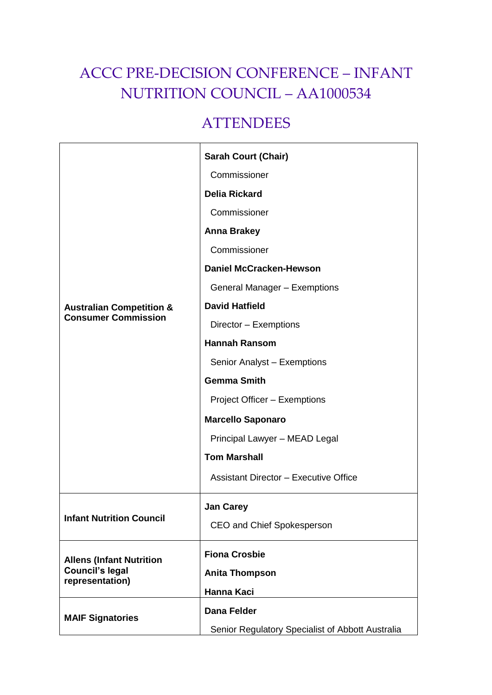# ACCC PRE-DECISION CONFERENCE – INFANT NUTRITION COUNCIL – AA1000534

# **ATTENDEES**

| <b>Australian Competition &amp;</b><br><b>Consumer Commission</b>            | <b>Sarah Court (Chair)</b>                       |
|------------------------------------------------------------------------------|--------------------------------------------------|
|                                                                              | Commissioner                                     |
|                                                                              | <b>Delia Rickard</b>                             |
|                                                                              | Commissioner                                     |
|                                                                              | <b>Anna Brakey</b>                               |
|                                                                              | Commissioner                                     |
|                                                                              | <b>Daniel McCracken-Hewson</b>                   |
|                                                                              | General Manager - Exemptions                     |
|                                                                              | <b>David Hatfield</b>                            |
|                                                                              | Director - Exemptions                            |
|                                                                              | <b>Hannah Ransom</b>                             |
|                                                                              | Senior Analyst - Exemptions                      |
|                                                                              | <b>Gemma Smith</b>                               |
|                                                                              | Project Officer - Exemptions                     |
|                                                                              | <b>Marcello Saponaro</b>                         |
|                                                                              | Principal Lawyer - MEAD Legal                    |
|                                                                              | <b>Tom Marshall</b>                              |
|                                                                              | <b>Assistant Director - Executive Office</b>     |
| <b>Infant Nutrition Council</b>                                              | <b>Jan Carey</b>                                 |
|                                                                              | CEO and Chief Spokesperson                       |
| <b>Allens (Infant Nutrition</b><br><b>Council's legal</b><br>representation) | <b>Fiona Crosbie</b>                             |
|                                                                              | <b>Anita Thompson</b>                            |
|                                                                              | Hanna Kaci                                       |
| <b>MAIF Signatories</b>                                                      | Dana Felder                                      |
|                                                                              | Senior Regulatory Specialist of Abbott Australia |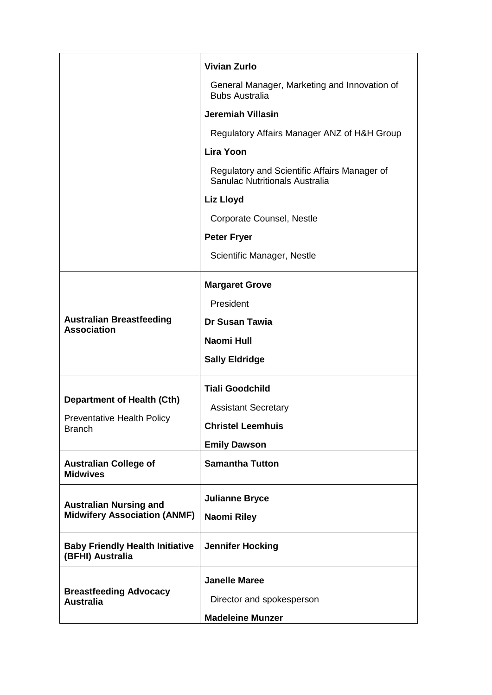|                                                                                         | <b>Vivian Zurlo</b>                                                            |
|-----------------------------------------------------------------------------------------|--------------------------------------------------------------------------------|
|                                                                                         | General Manager, Marketing and Innovation of<br><b>Bubs Australia</b>          |
|                                                                                         | <b>Jeremiah Villasin</b>                                                       |
|                                                                                         | Regulatory Affairs Manager ANZ of H&H Group                                    |
|                                                                                         | <b>Lira Yoon</b>                                                               |
|                                                                                         | Regulatory and Scientific Affairs Manager of<br>Sanulac Nutritionals Australia |
|                                                                                         | Liz Lloyd                                                                      |
|                                                                                         | Corporate Counsel, Nestle                                                      |
|                                                                                         | <b>Peter Fryer</b>                                                             |
|                                                                                         | Scientific Manager, Nestle                                                     |
| <b>Australian Breastfeeding</b><br><b>Association</b>                                   | <b>Margaret Grove</b>                                                          |
|                                                                                         | President                                                                      |
|                                                                                         | <b>Dr Susan Tawia</b>                                                          |
|                                                                                         | <b>Naomi Hull</b>                                                              |
|                                                                                         | <b>Sally Eldridge</b>                                                          |
| <b>Department of Health (Cth)</b><br><b>Preventative Health Policy</b><br><b>Branch</b> | <b>Tiali Goodchild</b>                                                         |
|                                                                                         | <b>Assistant Secretary</b>                                                     |
|                                                                                         | <b>Christel Leemhuis</b>                                                       |
|                                                                                         | <b>Emily Dawson</b>                                                            |
| <b>Australian College of</b><br><b>Midwives</b>                                         | <b>Samantha Tutton</b>                                                         |
| <b>Australian Nursing and</b><br><b>Midwifery Association (ANMF)</b>                    | <b>Julianne Bryce</b>                                                          |
|                                                                                         | Naomi Riley                                                                    |
| <b>Baby Friendly Health Initiative</b><br>(BFHI) Australia                              | <b>Jennifer Hocking</b>                                                        |
| <b>Breastfeeding Advocacy</b><br><b>Australia</b>                                       | <b>Janelle Maree</b>                                                           |
|                                                                                         | Director and spokesperson                                                      |
|                                                                                         | <b>Madeleine Munzer</b>                                                        |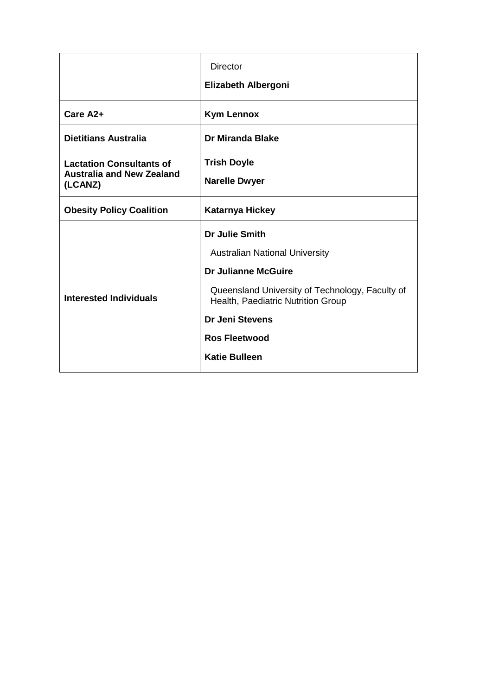|                                                                                | <b>Director</b>                                                                       |
|--------------------------------------------------------------------------------|---------------------------------------------------------------------------------------|
|                                                                                | <b>Elizabeth Albergoni</b>                                                            |
| Care A2+                                                                       | <b>Kym Lennox</b>                                                                     |
| <b>Dietitians Australia</b>                                                    | <b>Dr Miranda Blake</b>                                                               |
| <b>Lactation Consultants of</b><br><b>Australia and New Zealand</b><br>(LCANZ) | <b>Trish Doyle</b>                                                                    |
|                                                                                | <b>Narelle Dwyer</b>                                                                  |
| <b>Obesity Policy Coalition</b>                                                | <b>Katarnya Hickey</b>                                                                |
| <b>Interested Individuals</b>                                                  | <b>Dr Julie Smith</b>                                                                 |
|                                                                                | <b>Australian National University</b>                                                 |
|                                                                                | Dr Julianne McGuire                                                                   |
|                                                                                | Queensland University of Technology, Faculty of<br>Health, Paediatric Nutrition Group |
|                                                                                | <b>Dr Jeni Stevens</b>                                                                |
|                                                                                | <b>Ros Fleetwood</b>                                                                  |
|                                                                                | <b>Katie Bulleen</b>                                                                  |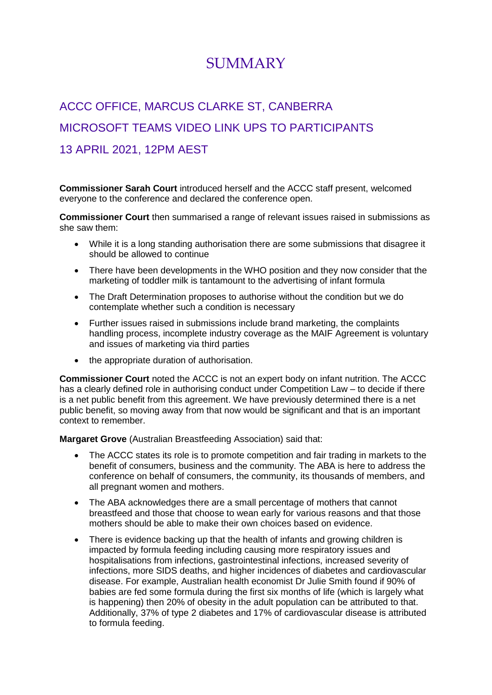# **SUMMARY**

# ACCC OFFICE, MARCUS CLARKE ST, CANBERRA MICROSOFT TEAMS VIDEO LINK UPS TO PARTICIPANTS 13 APRIL 2021, 12PM AEST

**Commissioner Sarah Court** introduced herself and the ACCC staff present, welcomed everyone to the conference and declared the conference open.

**Commissioner Court** then summarised a range of relevant issues raised in submissions as she saw them:

- While it is a long standing authorisation there are some submissions that disagree it should be allowed to continue
- There have been developments in the WHO position and they now consider that the marketing of toddler milk is tantamount to the advertising of infant formula
- The Draft Determination proposes to authorise without the condition but we do contemplate whether such a condition is necessary
- Further issues raised in submissions include brand marketing, the complaints handling process, incomplete industry coverage as the MAIF Agreement is voluntary and issues of marketing via third parties
- the appropriate duration of authorisation.

**Commissioner Court** noted the ACCC is not an expert body on infant nutrition. The ACCC has a clearly defined role in authorising conduct under Competition Law – to decide if there is a net public benefit from this agreement. We have previously determined there is a net public benefit, so moving away from that now would be significant and that is an important context to remember.

**Margaret Grove** (Australian Breastfeeding Association) said that:

- The ACCC states its role is to promote competition and fair trading in markets to the benefit of consumers, business and the community. The ABA is here to address the conference on behalf of consumers, the community, its thousands of members, and all pregnant women and mothers.
- The ABA acknowledges there are a small percentage of mothers that cannot breastfeed and those that choose to wean early for various reasons and that those mothers should be able to make their own choices based on evidence.
- There is evidence backing up that the health of infants and growing children is impacted by formula feeding including causing more respiratory issues and hospitalisations from infections, gastrointestinal infections, increased severity of infections, more SIDS deaths, and higher incidences of diabetes and cardiovascular disease. For example, Australian health economist Dr Julie Smith found if 90% of babies are fed some formula during the first six months of life (which is largely what is happening) then 20% of obesity in the adult population can be attributed to that. Additionally, 37% of type 2 diabetes and 17% of cardiovascular disease is attributed to formula feeding.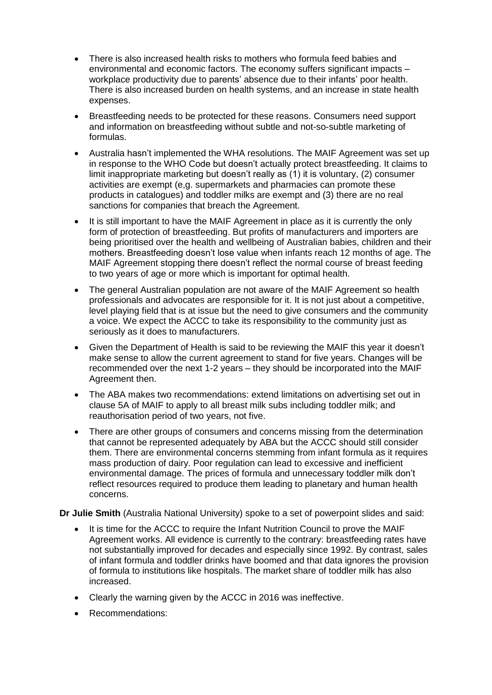- There is also increased health risks to mothers who formula feed babies and environmental and economic factors. The economy suffers significant impacts – workplace productivity due to parents' absence due to their infants' poor health. There is also increased burden on health systems, and an increase in state health expenses.
- Breastfeeding needs to be protected for these reasons. Consumers need support and information on breastfeeding without subtle and not-so-subtle marketing of formulas.
- Australia hasn't implemented the WHA resolutions. The MAIF Agreement was set up in response to the WHO Code but doesn't actually protect breastfeeding. It claims to limit inappropriate marketing but doesn't really as (1) it is voluntary, (2) consumer activities are exempt (e,g. supermarkets and pharmacies can promote these products in catalogues) and toddler milks are exempt and (3) there are no real sanctions for companies that breach the Agreement.
- It is still important to have the MAIF Agreement in place as it is currently the only form of protection of breastfeeding. But profits of manufacturers and importers are being prioritised over the health and wellbeing of Australian babies, children and their mothers. Breastfeeding doesn't lose value when infants reach 12 months of age. The MAIF Agreement stopping there doesn't reflect the normal course of breast feeding to two years of age or more which is important for optimal health.
- The general Australian population are not aware of the MAIF Agreement so health professionals and advocates are responsible for it. It is not just about a competitive, level playing field that is at issue but the need to give consumers and the community a voice. We expect the ACCC to take its responsibility to the community just as seriously as it does to manufacturers.
- Given the Department of Health is said to be reviewing the MAIF this year it doesn't make sense to allow the current agreement to stand for five years. Changes will be recommended over the next 1-2 years – they should be incorporated into the MAIF Agreement then.
- The ABA makes two recommendations: extend limitations on advertising set out in clause 5A of MAIF to apply to all breast milk subs including toddler milk; and reauthorisation period of two years, not five.
- There are other groups of consumers and concerns missing from the determination that cannot be represented adequately by ABA but the ACCC should still consider them. There are environmental concerns stemming from infant formula as it requires mass production of dairy. Poor regulation can lead to excessive and inefficient environmental damage. The prices of formula and unnecessary toddler milk don't reflect resources required to produce them leading to planetary and human health concerns.

**Dr Julie Smith** (Australia National University) spoke to a set of powerpoint slides and said:

- It is time for the ACCC to require the Infant Nutrition Council to prove the MAIF Agreement works. All evidence is currently to the contrary: breastfeeding rates have not substantially improved for decades and especially since 1992. By contrast, sales of infant formula and toddler drinks have boomed and that data ignores the provision of formula to institutions like hospitals. The market share of toddler milk has also increased.
- Clearly the warning given by the ACCC in 2016 was ineffective.
- Recommendations: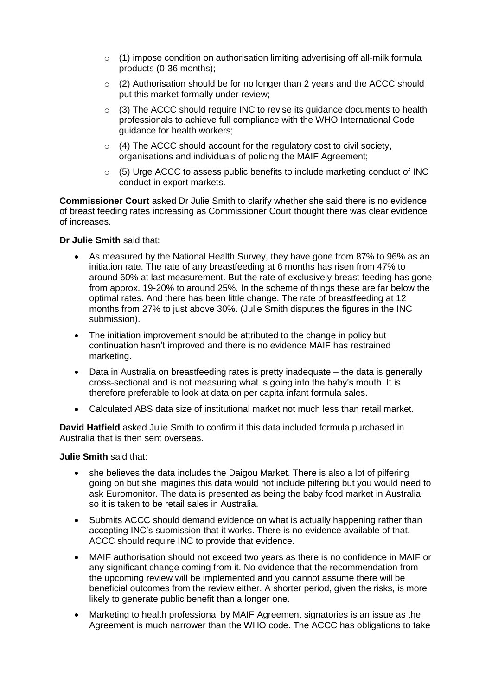- $\circ$  (1) impose condition on authorisation limiting advertising off all-milk formula products (0-36 months);
- $\circ$  (2) Authorisation should be for no longer than 2 years and the ACCC should put this market formally under review;
- $\circ$  (3) The ACCC should require INC to revise its guidance documents to health professionals to achieve full compliance with the WHO International Code guidance for health workers;
- $\circ$  (4) The ACCC should account for the regulatory cost to civil society, organisations and individuals of policing the MAIF Agreement;
- o (5) Urge ACCC to assess public benefits to include marketing conduct of INC conduct in export markets.

**Commissioner Court** asked Dr Julie Smith to clarify whether she said there is no evidence of breast feeding rates increasing as Commissioner Court thought there was clear evidence of increases.

## **Dr Julie Smith** said that:

- As measured by the National Health Survey, they have gone from 87% to 96% as an initiation rate. The rate of any breastfeeding at 6 months has risen from 47% to around 60% at last measurement. But the rate of exclusively breast feeding has gone from approx. 19-20% to around 25%. In the scheme of things these are far below the optimal rates. And there has been little change. The rate of breastfeeding at 12 months from 27% to just above 30%. (Julie Smith disputes the figures in the INC submission).
- The initiation improvement should be attributed to the change in policy but continuation hasn't improved and there is no evidence MAIF has restrained marketing.
- Data in Australia on breastfeeding rates is pretty inadequate the data is generally cross-sectional and is not measuring what is going into the baby's mouth. It is therefore preferable to look at data on per capita infant formula sales.
- Calculated ABS data size of institutional market not much less than retail market.

**David Hatfield** asked Julie Smith to confirm if this data included formula purchased in Australia that is then sent overseas.

## **Julie Smith** said that:

- she believes the data includes the Daigou Market. There is also a lot of pilfering going on but she imagines this data would not include pilfering but you would need to ask Euromonitor. The data is presented as being the baby food market in Australia so it is taken to be retail sales in Australia.
- Submits ACCC should demand evidence on what is actually happening rather than accepting INC's submission that it works. There is no evidence available of that. ACCC should require INC to provide that evidence.
- MAIF authorisation should not exceed two years as there is no confidence in MAIF or any significant change coming from it. No evidence that the recommendation from the upcoming review will be implemented and you cannot assume there will be beneficial outcomes from the review either. A shorter period, given the risks, is more likely to generate public benefit than a longer one.
- Marketing to health professional by MAIF Agreement signatories is an issue as the Agreement is much narrower than the WHO code. The ACCC has obligations to take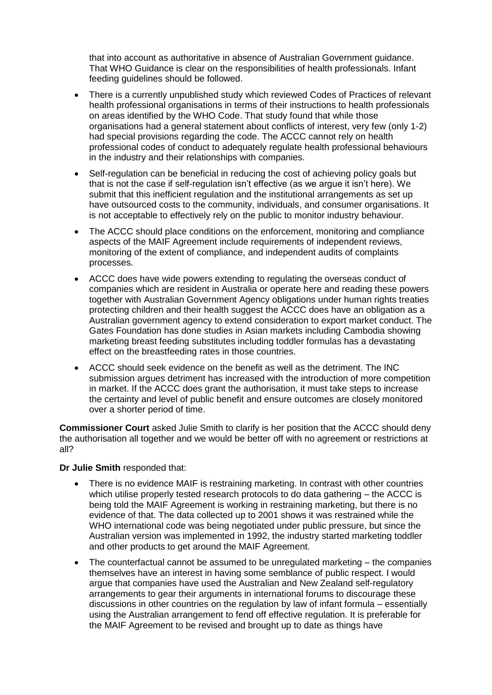that into account as authoritative in absence of Australian Government guidance. That WHO Guidance is clear on the responsibilities of health professionals. Infant feeding guidelines should be followed.

- There is a currently unpublished study which reviewed Codes of Practices of relevant health professional organisations in terms of their instructions to health professionals on areas identified by the WHO Code. That study found that while those organisations had a general statement about conflicts of interest, very few (only 1-2) had special provisions regarding the code. The ACCC cannot rely on health professional codes of conduct to adequately regulate health professional behaviours in the industry and their relationships with companies.
- Self-regulation can be beneficial in reducing the cost of achieving policy goals but that is not the case if self-regulation isn't effective (as we argue it isn't here). We submit that this inefficient regulation and the institutional arrangements as set up have outsourced costs to the community, individuals, and consumer organisations. It is not acceptable to effectively rely on the public to monitor industry behaviour.
- The ACCC should place conditions on the enforcement, monitoring and compliance aspects of the MAIF Agreement include requirements of independent reviews, monitoring of the extent of compliance, and independent audits of complaints processes.
- ACCC does have wide powers extending to regulating the overseas conduct of companies which are resident in Australia or operate here and reading these powers together with Australian Government Agency obligations under human rights treaties protecting children and their health suggest the ACCC does have an obligation as a Australian government agency to extend consideration to export market conduct. The Gates Foundation has done studies in Asian markets including Cambodia showing marketing breast feeding substitutes including toddler formulas has a devastating effect on the breastfeeding rates in those countries.
- ACCC should seek evidence on the benefit as well as the detriment. The INC submission argues detriment has increased with the introduction of more competition in market. If the ACCC does grant the authorisation, it must take steps to increase the certainty and level of public benefit and ensure outcomes are closely monitored over a shorter period of time.

**Commissioner Court** asked Julie Smith to clarify is her position that the ACCC should deny the authorisation all together and we would be better off with no agreement or restrictions at all?

## **Dr Julie Smith** responded that:

- There is no evidence MAIF is restraining marketing. In contrast with other countries which utilise properly tested research protocols to do data gathering – the ACCC is being told the MAIF Agreement is working in restraining marketing, but there is no evidence of that. The data collected up to 2001 shows it was restrained while the WHO international code was being negotiated under public pressure, but since the Australian version was implemented in 1992, the industry started marketing toddler and other products to get around the MAIF Agreement.
- The counterfactual cannot be assumed to be unregulated marketing the companies themselves have an interest in having some semblance of public respect. I would argue that companies have used the Australian and New Zealand self-regulatory arrangements to gear their arguments in international forums to discourage these discussions in other countries on the regulation by law of infant formula – essentially using the Australian arrangement to fend off effective regulation. It is preferable for the MAIF Agreement to be revised and brought up to date as things have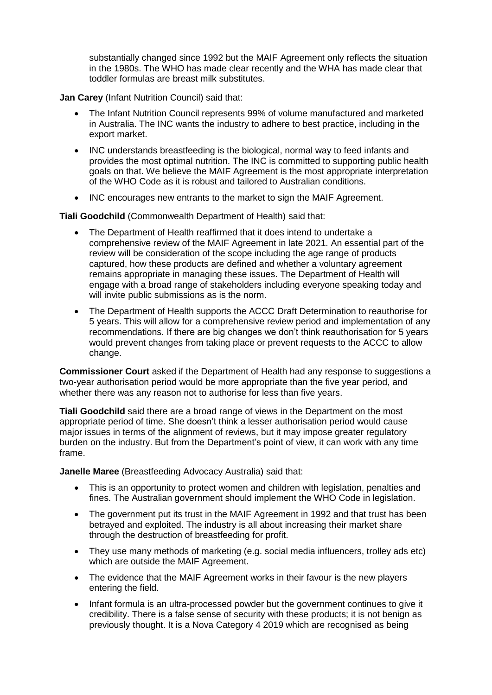substantially changed since 1992 but the MAIF Agreement only reflects the situation in the 1980s. The WHO has made clear recently and the WHA has made clear that toddler formulas are breast milk substitutes.

**Jan Carey** (Infant Nutrition Council) said that:

- The Infant Nutrition Council represents 99% of volume manufactured and marketed in Australia. The INC wants the industry to adhere to best practice, including in the export market.
- INC understands breastfeeding is the biological, normal way to feed infants and provides the most optimal nutrition. The INC is committed to supporting public health goals on that. We believe the MAIF Agreement is the most appropriate interpretation of the WHO Code as it is robust and tailored to Australian conditions.
- INC encourages new entrants to the market to sign the MAIF Agreement.

**Tiali Goodchild** (Commonwealth Department of Health) said that:

- The Department of Health reaffirmed that it does intend to undertake a comprehensive review of the MAIF Agreement in late 2021. An essential part of the review will be consideration of the scope including the age range of products captured, how these products are defined and whether a voluntary agreement remains appropriate in managing these issues. The Department of Health will engage with a broad range of stakeholders including everyone speaking today and will invite public submissions as is the norm.
- The Department of Health supports the ACCC Draft Determination to reauthorise for 5 years. This will allow for a comprehensive review period and implementation of any recommendations. If there are big changes we don't think reauthorisation for 5 years would prevent changes from taking place or prevent requests to the ACCC to allow change.

**Commissioner Court** asked if the Department of Health had any response to suggestions a two-year authorisation period would be more appropriate than the five year period, and whether there was any reason not to authorise for less than five years.

**Tiali Goodchild** said there are a broad range of views in the Department on the most appropriate period of time. She doesn't think a lesser authorisation period would cause major issues in terms of the alignment of reviews, but it may impose greater regulatory burden on the industry. But from the Department's point of view, it can work with any time frame.

**Janelle Maree** (Breastfeeding Advocacy Australia) said that:

- This is an opportunity to protect women and children with legislation, penalties and fines. The Australian government should implement the WHO Code in legislation.
- The government put its trust in the MAIF Agreement in 1992 and that trust has been betrayed and exploited. The industry is all about increasing their market share through the destruction of breastfeeding for profit.
- They use many methods of marketing (e.g. social media influencers, trolley ads etc) which are outside the MAIF Agreement.
- The evidence that the MAIF Agreement works in their favour is the new players entering the field.
- Infant formula is an ultra-processed powder but the government continues to give it credibility. There is a false sense of security with these products; it is not benign as previously thought. It is a Nova Category 4 2019 which are recognised as being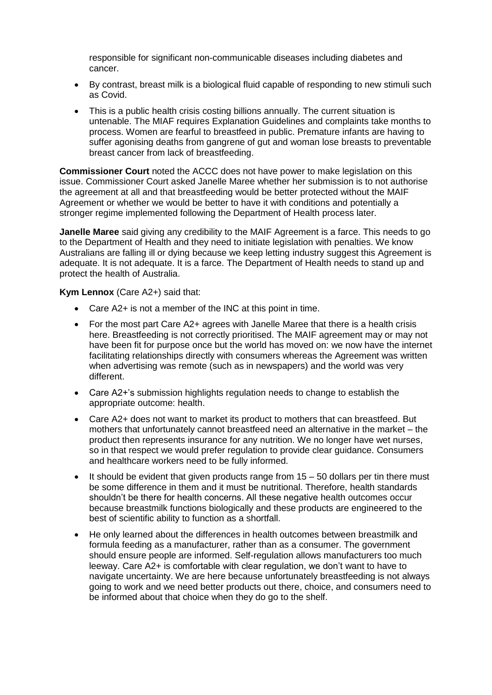responsible for significant non-communicable diseases including diabetes and cancer.

- By contrast, breast milk is a biological fluid capable of responding to new stimuli such as Covid.
- This is a public health crisis costing billions annually. The current situation is untenable. The MIAF requires Explanation Guidelines and complaints take months to process. Women are fearful to breastfeed in public. Premature infants are having to suffer agonising deaths from gangrene of gut and woman lose breasts to preventable breast cancer from lack of breastfeeding.

**Commissioner Court** noted the ACCC does not have power to make legislation on this issue. Commissioner Court asked Janelle Maree whether her submission is to not authorise the agreement at all and that breastfeeding would be better protected without the MAIF Agreement or whether we would be better to have it with conditions and potentially a stronger regime implemented following the Department of Health process later.

**Janelle Maree** said giving any credibility to the MAIF Agreement is a farce. This needs to go to the Department of Health and they need to initiate legislation with penalties. We know Australians are falling ill or dying because we keep letting industry suggest this Agreement is adequate. It is not adequate. It is a farce. The Department of Health needs to stand up and protect the health of Australia.

**Kym Lennox** (Care A2+) said that:

- Care A2+ is not a member of the INC at this point in time.
- For the most part Care A2+ agrees with Janelle Maree that there is a health crisis here. Breastfeeding is not correctly prioritised. The MAIF agreement may or may not have been fit for purpose once but the world has moved on: we now have the internet facilitating relationships directly with consumers whereas the Agreement was written when advertising was remote (such as in newspapers) and the world was very different.
- Care A2+'s submission highlights regulation needs to change to establish the appropriate outcome: health.
- Care A2+ does not want to market its product to mothers that can breastfeed. But mothers that unfortunately cannot breastfeed need an alternative in the market – the product then represents insurance for any nutrition. We no longer have wet nurses, so in that respect we would prefer regulation to provide clear guidance. Consumers and healthcare workers need to be fully informed.
- $\bullet$  It should be evident that given products range from 15 50 dollars per tin there must be some difference in them and it must be nutritional. Therefore, health standards shouldn't be there for health concerns. All these negative health outcomes occur because breastmilk functions biologically and these products are engineered to the best of scientific ability to function as a shortfall.
- He only learned about the differences in health outcomes between breastmilk and formula feeding as a manufacturer, rather than as a consumer. The government should ensure people are informed. Self-regulation allows manufacturers too much leeway. Care A2+ is comfortable with clear regulation, we don't want to have to navigate uncertainty. We are here because unfortunately breastfeeding is not always going to work and we need better products out there, choice, and consumers need to be informed about that choice when they do go to the shelf.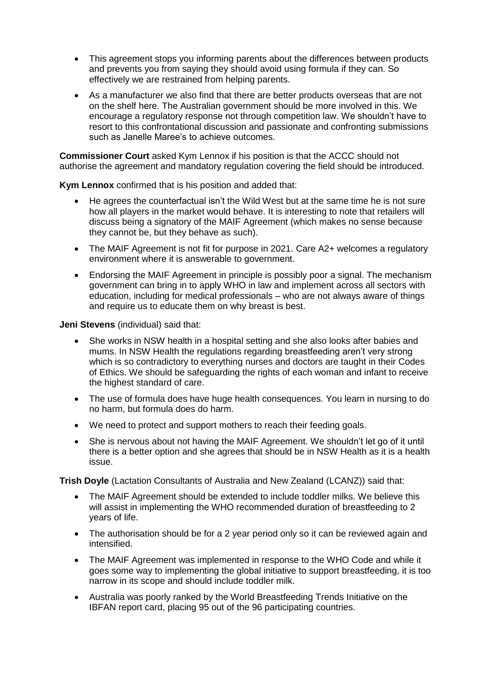- This agreement stops you informing parents about the differences between products and prevents you from saying they should avoid using formula if they can. So effectively we are restrained from helping parents.
- As a manufacturer we also find that there are better products overseas that are not on the shelf here. The Australian government should be more involved in this. We encourage a regulatory response not through competition law. We shouldn't have to resort to this confrontational discussion and passionate and confronting submissions such as Janelle Maree's to achieve outcomes.

**Commissioner Court** asked Kym Lennox if his position is that the ACCC should not authorise the agreement and mandatory regulation covering the field should be introduced.

**Kym Lennox** confirmed that is his position and added that:

- He agrees the counterfactual isn't the Wild West but at the same time he is not sure how all players in the market would behave. It is interesting to note that retailers will discuss being a signatory of the MAIF Agreement (which makes no sense because they cannot be, but they behave as such).
- The MAIF Agreement is not fit for purpose in 2021. Care A2+ welcomes a regulatory environment where it is answerable to government.
- Endorsing the MAIF Agreement in principle is possibly poor a signal. The mechanism government can bring in to apply WHO in law and implement across all sectors with education, including for medical professionals – who are not always aware of things and require us to educate them on why breast is best.

**Jeni Stevens** (individual) said that:

- She works in NSW health in a hospital setting and she also looks after babies and mums. In NSW Health the regulations regarding breastfeeding aren't very strong which is so contradictory to everything nurses and doctors are taught in their Codes of Ethics. We should be safeguarding the rights of each woman and infant to receive the highest standard of care.
- The use of formula does have huge health consequences. You learn in nursing to do no harm, but formula does do harm.
- We need to protect and support mothers to reach their feeding goals.
- She is nervous about not having the MAIF Agreement. We shouldn't let go of it until there is a better option and she agrees that should be in NSW Health as it is a health issue.

**Trish Doyle** (Lactation Consultants of Australia and New Zealand (LCANZ)) said that:

- The MAIF Agreement should be extended to include toddler milks. We believe this will assist in implementing the WHO recommended duration of breastfeeding to 2 years of life.
- The authorisation should be for a 2 year period only so it can be reviewed again and intensified.
- The MAIF Agreement was implemented in response to the WHO Code and while it goes some way to implementing the global initiative to support breastfeeding, it is too narrow in its scope and should include toddler milk.
- Australia was poorly ranked by the World Breastfeeding Trends Initiative on the IBFAN report card, placing 95 out of the 96 participating countries.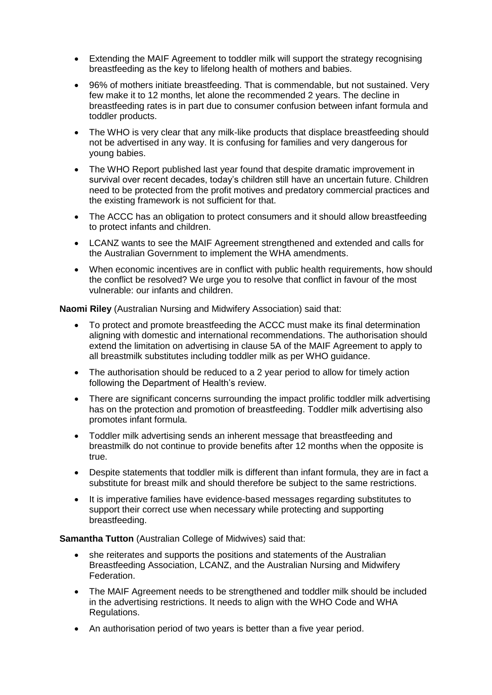- Extending the MAIF Agreement to toddler milk will support the strategy recognising breastfeeding as the key to lifelong health of mothers and babies.
- 96% of mothers initiate breastfeeding. That is commendable, but not sustained. Very few make it to 12 months, let alone the recommended 2 years. The decline in breastfeeding rates is in part due to consumer confusion between infant formula and toddler products.
- The WHO is very clear that any milk-like products that displace breastfeeding should not be advertised in any way. It is confusing for families and very dangerous for young babies.
- The WHO Report published last year found that despite dramatic improvement in survival over recent decades, today's children still have an uncertain future. Children need to be protected from the profit motives and predatory commercial practices and the existing framework is not sufficient for that.
- The ACCC has an obligation to protect consumers and it should allow breastfeeding to protect infants and children.
- LCANZ wants to see the MAIF Agreement strengthened and extended and calls for the Australian Government to implement the WHA amendments.
- When economic incentives are in conflict with public health requirements, how should the conflict be resolved? We urge you to resolve that conflict in favour of the most vulnerable: our infants and children.

**Naomi Riley** (Australian Nursing and Midwifery Association) said that:

- To protect and promote breastfeeding the ACCC must make its final determination aligning with domestic and international recommendations. The authorisation should extend the limitation on advertising in clause 5A of the MAIF Agreement to apply to all breastmilk substitutes including toddler milk as per WHO guidance.
- The authorisation should be reduced to a 2 year period to allow for timely action following the Department of Health's review.
- There are significant concerns surrounding the impact prolific toddler milk advertising has on the protection and promotion of breastfeeding. Toddler milk advertising also promotes infant formula.
- Toddler milk advertising sends an inherent message that breastfeeding and breastmilk do not continue to provide benefits after 12 months when the opposite is true.
- Despite statements that toddler milk is different than infant formula, they are in fact a substitute for breast milk and should therefore be subject to the same restrictions.
- It is imperative families have evidence-based messages regarding substitutes to support their correct use when necessary while protecting and supporting breastfeeding.

**Samantha Tutton** (Australian College of Midwives) said that:

- she reiterates and supports the positions and statements of the Australian Breastfeeding Association, LCANZ, and the Australian Nursing and Midwifery Federation.
- The MAIF Agreement needs to be strengthened and toddler milk should be included in the advertising restrictions. It needs to align with the WHO Code and WHA Regulations.
- An authorisation period of two years is better than a five year period.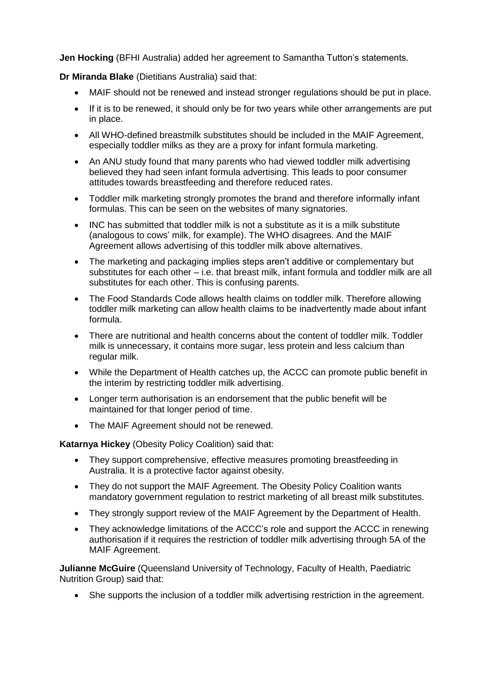**Jen Hocking** (BFHI Australia) added her agreement to Samantha Tutton's statements.

**Dr Miranda Blake** (Dietitians Australia) said that:

- MAIF should not be renewed and instead stronger regulations should be put in place.
- If it is to be renewed, it should only be for two years while other arrangements are put in place.
- All WHO-defined breastmilk substitutes should be included in the MAIF Agreement, especially toddler milks as they are a proxy for infant formula marketing.
- An ANU study found that many parents who had viewed toddler milk advertising believed they had seen infant formula advertising. This leads to poor consumer attitudes towards breastfeeding and therefore reduced rates.
- Toddler milk marketing strongly promotes the brand and therefore informally infant formulas. This can be seen on the websites of many signatories.
- INC has submitted that toddler milk is not a substitute as it is a milk substitute (analogous to cows' milk, for example). The WHO disagrees. And the MAIF Agreement allows advertising of this toddler milk above alternatives.
- The marketing and packaging implies steps aren't additive or complementary but substitutes for each other – i.e. that breast milk, infant formula and toddler milk are all substitutes for each other. This is confusing parents.
- The Food Standards Code allows health claims on toddler milk. Therefore allowing toddler milk marketing can allow health claims to be inadvertently made about infant formula.
- There are nutritional and health concerns about the content of toddler milk. Toddler milk is unnecessary, it contains more sugar, less protein and less calcium than regular milk.
- While the Department of Health catches up, the ACCC can promote public benefit in the interim by restricting toddler milk advertising.
- Longer term authorisation is an endorsement that the public benefit will be maintained for that longer period of time.
- The MAIF Agreement should not be renewed.

**Katarnya Hickey** (Obesity Policy Coalition) said that:

- They support comprehensive, effective measures promoting breastfeeding in Australia. It is a protective factor against obesity.
- They do not support the MAIF Agreement. The Obesity Policy Coalition wants mandatory government regulation to restrict marketing of all breast milk substitutes.
- They strongly support review of the MAIF Agreement by the Department of Health.
- They acknowledge limitations of the ACCC's role and support the ACCC in renewing authorisation if it requires the restriction of toddler milk advertising through 5A of the MAIF Agreement.

**Julianne McGuire** (Queensland University of Technology, Faculty of Health, Paediatric Nutrition Group) said that:

She supports the inclusion of a toddler milk advertising restriction in the agreement.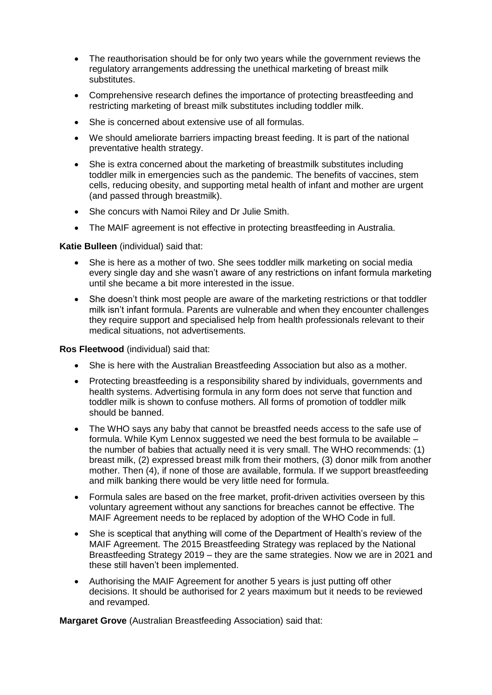- The reauthorisation should be for only two years while the government reviews the regulatory arrangements addressing the unethical marketing of breast milk substitutes.
- Comprehensive research defines the importance of protecting breastfeeding and restricting marketing of breast milk substitutes including toddler milk.
- She is concerned about extensive use of all formulas.
- We should ameliorate barriers impacting breast feeding. It is part of the national preventative health strategy.
- She is extra concerned about the marketing of breastmilk substitutes including toddler milk in emergencies such as the pandemic. The benefits of vaccines, stem cells, reducing obesity, and supporting metal health of infant and mother are urgent (and passed through breastmilk).
- She concurs with Namoi Riley and Dr Julie Smith.
- The MAIF agreement is not effective in protecting breastfeeding in Australia.

**Katie Bulleen** (individual) said that:

- She is here as a mother of two. She sees toddler milk marketing on social media every single day and she wasn't aware of any restrictions on infant formula marketing until she became a bit more interested in the issue.
- She doesn't think most people are aware of the marketing restrictions or that toddler milk isn't infant formula. Parents are vulnerable and when they encounter challenges they require support and specialised help from health professionals relevant to their medical situations, not advertisements.

**Ros Fleetwood** (individual) said that:

- She is here with the Australian Breastfeeding Association but also as a mother.
- Protecting breastfeeding is a responsibility shared by individuals, governments and health systems. Advertising formula in any form does not serve that function and toddler milk is shown to confuse mothers. All forms of promotion of toddler milk should be banned.
- The WHO says any baby that cannot be breastfed needs access to the safe use of formula. While Kym Lennox suggested we need the best formula to be available – the number of babies that actually need it is very small. The WHO recommends: (1) breast milk, (2) expressed breast milk from their mothers, (3) donor milk from another mother. Then (4), if none of those are available, formula. If we support breastfeeding and milk banking there would be very little need for formula.
- Formula sales are based on the free market, profit-driven activities overseen by this voluntary agreement without any sanctions for breaches cannot be effective. The MAIF Agreement needs to be replaced by adoption of the WHO Code in full.
- She is sceptical that anything will come of the Department of Health's review of the MAIF Agreement. The 2015 Breastfeeding Strategy was replaced by the National Breastfeeding Strategy 2019 – they are the same strategies. Now we are in 2021 and these still haven't been implemented.
- Authorising the MAIF Agreement for another 5 years is just putting off other decisions. It should be authorised for 2 years maximum but it needs to be reviewed and revamped.

**Margaret Grove** (Australian Breastfeeding Association) said that: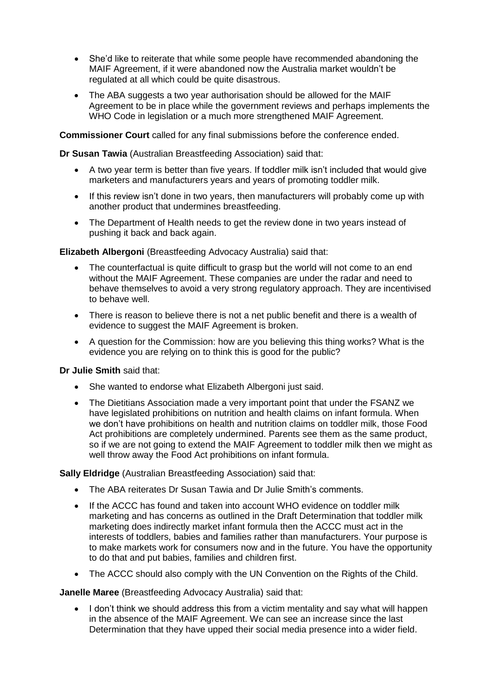- She'd like to reiterate that while some people have recommended abandoning the MAIF Agreement, if it were abandoned now the Australia market wouldn't be regulated at all which could be quite disastrous.
- The ABA suggests a two year authorisation should be allowed for the MAIF Agreement to be in place while the government reviews and perhaps implements the WHO Code in legislation or a much more strengthened MAIF Agreement.

**Commissioner Court** called for any final submissions before the conference ended.

**Dr Susan Tawia** (Australian Breastfeeding Association) said that:

- A two year term is better than five years. If toddler milk isn't included that would give marketers and manufacturers years and years of promoting toddler milk.
- If this review isn't done in two years, then manufacturers will probably come up with another product that undermines breastfeeding.
- The Department of Health needs to get the review done in two years instead of pushing it back and back again.

**Elizabeth Albergoni** (Breastfeeding Advocacy Australia) said that:

- The counterfactual is quite difficult to grasp but the world will not come to an end without the MAIF Agreement. These companies are under the radar and need to behave themselves to avoid a very strong regulatory approach. They are incentivised to behave well.
- There is reason to believe there is not a net public benefit and there is a wealth of evidence to suggest the MAIF Agreement is broken.
- A question for the Commission: how are you believing this thing works? What is the evidence you are relying on to think this is good for the public?

## **Dr Julie Smith** said that:

- She wanted to endorse what Elizabeth Albergoni just said.
- The Dietitians Association made a very important point that under the FSANZ we have legislated prohibitions on nutrition and health claims on infant formula. When we don't have prohibitions on health and nutrition claims on toddler milk, those Food Act prohibitions are completely undermined. Parents see them as the same product, so if we are not going to extend the MAIF Agreement to toddler milk then we might as well throw away the Food Act prohibitions on infant formula.

## **Sally Eldridge** (Australian Breastfeeding Association) said that:

- The ABA reiterates Dr Susan Tawia and Dr Julie Smith's comments.
- If the ACCC has found and taken into account WHO evidence on toddler milk marketing and has concerns as outlined in the Draft Determination that toddler milk marketing does indirectly market infant formula then the ACCC must act in the interests of toddlers, babies and families rather than manufacturers. Your purpose is to make markets work for consumers now and in the future. You have the opportunity to do that and put babies, families and children first.
- The ACCC should also comply with the UN Convention on the Rights of the Child.

**Janelle Maree** (Breastfeeding Advocacy Australia) said that:

 I don't think we should address this from a victim mentality and say what will happen in the absence of the MAIF Agreement. We can see an increase since the last Determination that they have upped their social media presence into a wider field.